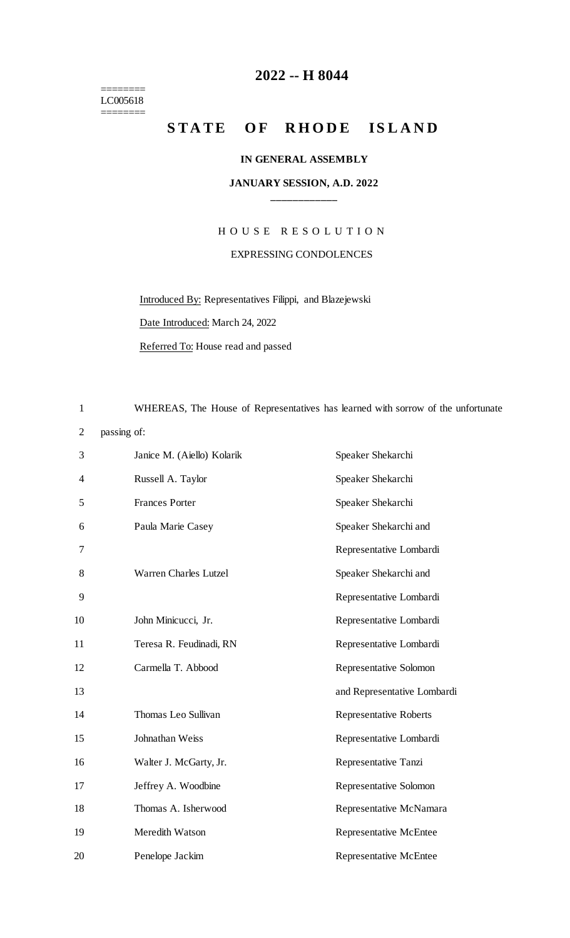======== LC005618 ========

## **-- H 8044**

## STATE OF RHODE ISLAND

#### **IN GENERAL ASSEMBLY**

### **JANUARY SESSION, A.D. 2022 \_\_\_\_\_\_\_\_\_\_\_\_**

# H O U S E R E S O L U T I O N EXPRESSING CONDOLENCES

Introduced By: Representatives Filippi, and Blazejewski

Date Introduced: March 24, 2022

Referred To: House read and passed

WHEREAS, The House of Representatives has learned with sorrow of the unfortunate

passing of:

| 3  | Janice M. (Aiello) Kolarik   | Speaker Shekarchi             |
|----|------------------------------|-------------------------------|
| 4  | Russell A. Taylor            | Speaker Shekarchi             |
| 5  | <b>Frances Porter</b>        | Speaker Shekarchi             |
| 6  | Paula Marie Casey            | Speaker Shekarchi and         |
| 7  |                              | Representative Lombardi       |
| 8  | <b>Warren Charles Lutzel</b> | Speaker Shekarchi and         |
| 9  |                              | Representative Lombardi       |
| 10 | John Minicucci, Jr.          | Representative Lombardi       |
| 11 | Teresa R. Feudinadi, RN      | Representative Lombardi       |
| 12 | Carmella T. Abbood           | Representative Solomon        |
| 13 |                              | and Representative Lombardi   |
| 14 | Thomas Leo Sullivan          | <b>Representative Roberts</b> |
| 15 | Johnathan Weiss              | Representative Lombardi       |
| 16 | Walter J. McGarty, Jr.       | Representative Tanzi          |
| 17 | Jeffrey A. Woodbine          | Representative Solomon        |
| 18 | Thomas A. Isherwood          | Representative McNamara       |
| 19 | Meredith Watson              | <b>Representative McEntee</b> |
| 20 | Penelope Jackim              | <b>Representative McEntee</b> |